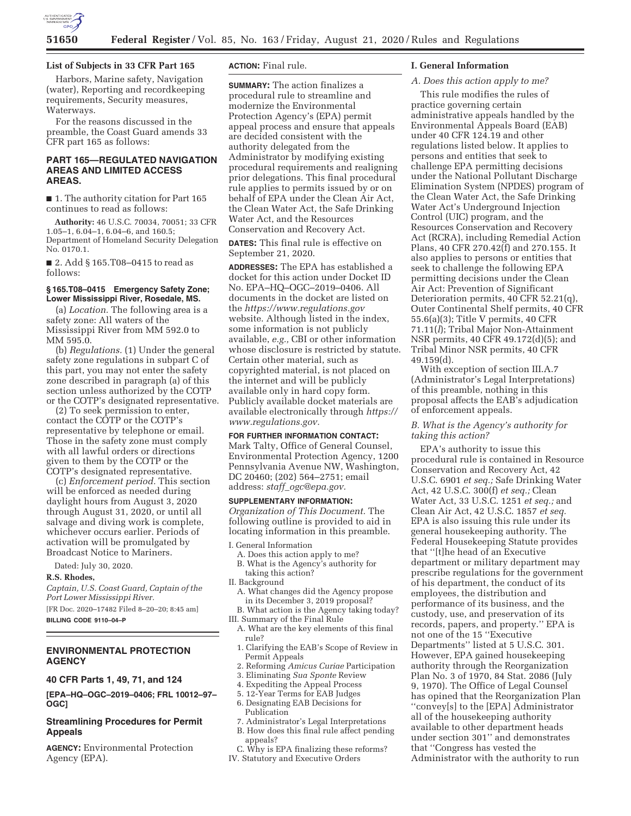

## **List of Subjects in 33 CFR Part 165**

Harbors, Marine safety, Navigation (water), Reporting and recordkeeping requirements, Security measures, Waterways.

For the reasons discussed in the preamble, the Coast Guard amends 33 CFR part 165 as follows:

# **PART 165—REGULATED NAVIGATION AREAS AND LIMITED ACCESS AREAS.**

■ 1. The authority citation for Part 165 continues to read as follows:

**Authority:** 46 U.S.C. 70034, 70051; 33 CFR 1.05–1, 6.04–1, 6.04–6, and 160.5; Department of Homeland Security Delegation No. 0170.1.

■ 2. Add § 165.T08-0415 to read as follows:

# **§ 165.T08–0415 Emergency Safety Zone; Lower Mississippi River, Rosedale, MS.**

(a) *Location.* The following area is a safety zone: All waters of the Mississippi River from MM 592.0 to MM 595.0.

(b) *Regulations.* (1) Under the general safety zone regulations in subpart C of this part, you may not enter the safety zone described in paragraph (a) of this section unless authorized by the COTP or the COTP's designated representative.

(2) To seek permission to enter, contact the COTP or the COTP's representative by telephone or email. Those in the safety zone must comply with all lawful orders or directions given to them by the COTP or the COTP's designated representative.

(c) *Enforcement period.* This section will be enforced as needed during daylight hours from August 3, 2020 through August 31, 2020, or until all salvage and diving work is complete, whichever occurs earlier. Periods of activation will be promulgated by Broadcast Notice to Mariners.

Dated: July 30, 2020.

### **R.S. Rhodes,**

*Captain, U.S. Coast Guard, Captain of the Port Lower Mississippi River.* 

[FR Doc. 2020–17482 Filed 8–20–20; 8:45 am]

**BILLING CODE 9110–04–P** 

# **ENVIRONMENTAL PROTECTION AGENCY**

# **40 CFR Parts 1, 49, 71, and 124**

**[EPA–HQ–OGC–2019–0406; FRL 10012–97– OGC]** 

# **Streamlining Procedures for Permit Appeals**

**AGENCY:** Environmental Protection Agency (EPA).

## **ACTION:** Final rule.

**SUMMARY:** The action finalizes a procedural rule to streamline and modernize the Environmental Protection Agency's (EPA) permit appeal process and ensure that appeals are decided consistent with the authority delegated from the Administrator by modifying existing procedural requirements and realigning prior delegations. This final procedural rule applies to permits issued by or on behalf of EPA under the Clean Air Act, the Clean Water Act, the Safe Drinking Water Act, and the Resources Conservation and Recovery Act.

**DATES:** This final rule is effective on September 21, 2020.

**ADDRESSES:** The EPA has established a docket for this action under Docket ID No. EPA–HQ–OGC–2019–0406. All documents in the docket are listed on the *https://www.regulations.gov*  website. Although listed in the index, some information is not publicly available, *e.g.,* CBI or other information whose disclosure is restricted by statute. Certain other material, such as copyrighted material, is not placed on the internet and will be publicly available only in hard copy form. Publicly available docket materials are available electronically through *https:// www.regulations.gov.* 

# **FOR FURTHER INFORMATION CONTACT:**

Mark Talty, Office of General Counsel, Environmental Protection Agency, 1200 Pennsylvania Avenue NW, Washington, DC 20460; (202) 564–2751; email address: *staff*\_*ogc@epa.gov.* 

### **SUPPLEMENTARY INFORMATION:**

*Organization of This Document.* The following outline is provided to aid in locating information in this preamble.

I. General Information

- A. Does this action apply to me?
- B. What is the Agency's authority for taking this action?
- II. Background
- A. What changes did the Agency propose in its December 3, 2019 proposal?
- B. What action is the Agency taking today? III. Summary of the Final Rule
- A. What are the key elements of this final rule?
- 1. Clarifying the EAB's Scope of Review in Permit Appeals
- 2. Reforming *Amicus Curiae* Participation
- 3. Eliminating *Sua Sponte* Review
- 4. Expediting the Appeal Process
- 5. 12-Year Terms for EAB Judges
- 6. Designating EAB Decisions for Publication
- 7. Administrator's Legal Interpretations
- B. How does this final rule affect pending appeals?
- C. Why is EPA finalizing these reforms? IV. Statutory and Executive Orders

# **I. General Information**

# *A. Does this action apply to me?*

This rule modifies the rules of practice governing certain administrative appeals handled by the Environmental Appeals Board (EAB) under 40 CFR 124.19 and other regulations listed below. It applies to persons and entities that seek to challenge EPA permitting decisions under the National Pollutant Discharge Elimination System (NPDES) program of the Clean Water Act, the Safe Drinking Water Act's Underground Injection Control (UIC) program, and the Resources Conservation and Recovery Act (RCRA), including Remedial Action Plans, 40 CFR 270.42(f) and 270.155. It also applies to persons or entities that seek to challenge the following EPA permitting decisions under the Clean Air Act: Prevention of Significant Deterioration permits, 40 CFR 52.21(q), Outer Continental Shelf permits, 40 CFR 55.6(a)(3); Title V permits, 40 CFR 71.11(*l*); Tribal Major Non-Attainment NSR permits, 40 CFR 49.172(d)(5); and Tribal Minor NSR permits, 40 CFR 49.159(d).

With exception of section III.A.7 (Administrator's Legal Interpretations) of this preamble, nothing in this proposal affects the EAB's adjudication of enforcement appeals.

### *B. What is the Agency's authority for taking this action?*

EPA's authority to issue this procedural rule is contained in Resource Conservation and Recovery Act, 42 U.S.C. 6901 *et seq.;* Safe Drinking Water Act, 42 U.S.C. 300(f) *et seq.;* Clean Water Act, 33 U.S.C. 1251 *et seq.;* and Clean Air Act, 42 U.S.C. 1857 *et seq.*  EPA is also issuing this rule under its general housekeeping authority. The Federal Housekeeping Statute provides that ''[t]he head of an Executive department or military department may prescribe regulations for the government of his department, the conduct of its employees, the distribution and performance of its business, and the custody, use, and preservation of its records, papers, and property.'' EPA is not one of the 15 ''Executive Departments'' listed at 5 U.S.C. 301. However, EPA gained housekeeping authority through the Reorganization Plan No. 3 of 1970, 84 Stat. 2086 (July 9, 1970). The Office of Legal Counsel has opined that the Reorganization Plan ''convey[s] to the [EPA] Administrator all of the housekeeping authority available to other department heads under section 301'' and demonstrates that ''Congress has vested the Administrator with the authority to run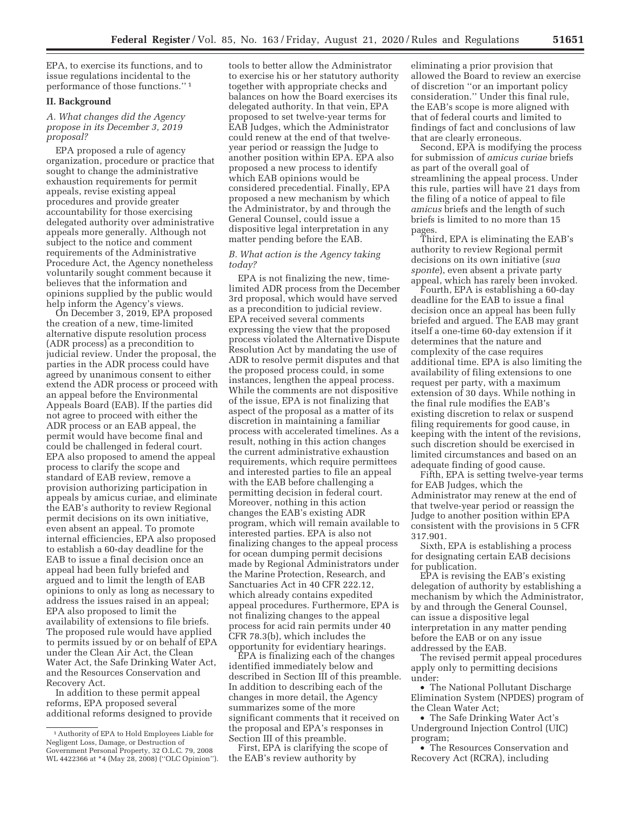EPA, to exercise its functions, and to issue regulations incidental to the performance of those functions.'' 1

## **II. Background**

*A. What changes did the Agency propose in its December 3, 2019 proposal?* 

EPA proposed a rule of agency organization, procedure or practice that sought to change the administrative exhaustion requirements for permit appeals, revise existing appeal procedures and provide greater accountability for those exercising delegated authority over administrative appeals more generally. Although not subject to the notice and comment requirements of the Administrative Procedure Act, the Agency nonetheless voluntarily sought comment because it believes that the information and opinions supplied by the public would help inform the Agency's views.

On December 3, 2019, EPA proposed the creation of a new, time-limited alternative dispute resolution process (ADR process) as a precondition to judicial review. Under the proposal, the parties in the ADR process could have agreed by unanimous consent to either extend the ADR process or proceed with an appeal before the Environmental Appeals Board (EAB). If the parties did not agree to proceed with either the ADR process or an EAB appeal, the permit would have become final and could be challenged in federal court. EPA also proposed to amend the appeal process to clarify the scope and standard of EAB review, remove a provision authorizing participation in appeals by amicus curiae, and eliminate the EAB's authority to review Regional permit decisions on its own initiative, even absent an appeal. To promote internal efficiencies, EPA also proposed to establish a 60-day deadline for the EAB to issue a final decision once an appeal had been fully briefed and argued and to limit the length of EAB opinions to only as long as necessary to address the issues raised in an appeal; EPA also proposed to limit the availability of extensions to file briefs. The proposed rule would have applied to permits issued by or on behalf of EPA under the Clean Air Act, the Clean Water Act, the Safe Drinking Water Act, and the Resources Conservation and Recovery Act.

In addition to these permit appeal reforms, EPA proposed several additional reforms designed to provide tools to better allow the Administrator to exercise his or her statutory authority together with appropriate checks and balances on how the Board exercises its delegated authority. In that vein, EPA proposed to set twelve-year terms for EAB Judges, which the Administrator could renew at the end of that twelveyear period or reassign the Judge to another position within EPA. EPA also proposed a new process to identify which EAB opinions would be considered precedential. Finally, EPA proposed a new mechanism by which the Administrator, by and through the General Counsel, could issue a dispositive legal interpretation in any matter pending before the EAB.

*B. What action is the Agency taking today?* 

EPA is not finalizing the new, timelimited ADR process from the December 3rd proposal, which would have served as a precondition to judicial review. EPA received several comments expressing the view that the proposed process violated the Alternative Dispute Resolution Act by mandating the use of ADR to resolve permit disputes and that the proposed process could, in some instances, lengthen the appeal process. While the comments are not dispositive of the issue, EPA is not finalizing that aspect of the proposal as a matter of its discretion in maintaining a familiar process with accelerated timelines. As a result, nothing in this action changes the current administrative exhaustion requirements, which require permittees and interested parties to file an appeal with the EAB before challenging a permitting decision in federal court. Moreover, nothing in this action changes the EAB's existing ADR program, which will remain available to interested parties. EPA is also not finalizing changes to the appeal process for ocean dumping permit decisions made by Regional Administrators under the Marine Protection, Research, and Sanctuaries Act in 40 CFR 222.12, which already contains expedited appeal procedures. Furthermore, EPA is not finalizing changes to the appeal process for acid rain permits under 40 CFR 78.3(b), which includes the opportunity for evidentiary hearings.

EPA is finalizing each of the changes identified immediately below and described in Section III of this preamble. In addition to describing each of the changes in more detail, the Agency summarizes some of the more significant comments that it received on the proposal and EPA's responses in Section III of this preamble.

First, EPA is clarifying the scope of the EAB's review authority by

eliminating a prior provision that allowed the Board to review an exercise of discretion ''or an important policy consideration.'' Under this final rule, the EAB's scope is more aligned with that of federal courts and limited to findings of fact and conclusions of law that are clearly erroneous.

Second, EPA is modifying the process for submission of *amicus curiae* briefs as part of the overall goal of streamlining the appeal process. Under this rule, parties will have 21 days from the filing of a notice of appeal to file *amicus* briefs and the length of such briefs is limited to no more than 15 pages.

Third, EPA is eliminating the EAB's authority to review Regional permit decisions on its own initiative (*sua sponte*), even absent a private party appeal, which has rarely been invoked.

Fourth, EPA is establishing a 60-day deadline for the EAB to issue a final decision once an appeal has been fully briefed and argued. The EAB may grant itself a one-time 60-day extension if it determines that the nature and complexity of the case requires additional time. EPA is also limiting the availability of filing extensions to one request per party, with a maximum extension of 30 days. While nothing in the final rule modifies the EAB's existing discretion to relax or suspend filing requirements for good cause, in keeping with the intent of the revisions, such discretion should be exercised in limited circumstances and based on an adequate finding of good cause.

Fifth, EPA is setting twelve-year terms for EAB Judges, which the Administrator may renew at the end of that twelve-year period or reassign the Judge to another position within EPA consistent with the provisions in 5 CFR 317.901.

Sixth, EPA is establishing a process for designating certain EAB decisions for publication.

EPA is revising the EAB's existing delegation of authority by establishing a mechanism by which the Administrator, by and through the General Counsel, can issue a dispositive legal interpretation in any matter pending before the EAB or on any issue addressed by the EAB.

The revised permit appeal procedures apply only to permitting decisions under:

• The National Pollutant Discharge Elimination System (NPDES) program of the Clean Water Act;

• The Safe Drinking Water Act's Underground Injection Control (UIC) program;

• The Resources Conservation and Recovery Act (RCRA), including

<sup>1</sup>Authority of EPA to Hold Employees Liable for Negligent Loss, Damage, or Destruction of Government Personal Property, 32 O.L.C. 79, 2008 WL 4422366 at \*4 (May 28, 2008) (''OLC Opinion'').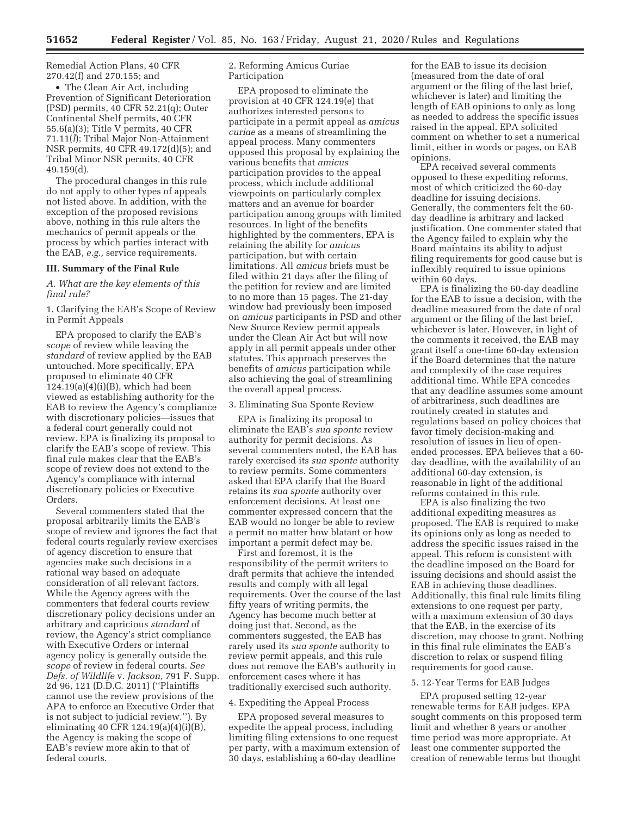Remedial Action Plans, 40 CFR 270.42(f) and 270.155; and

• The Clean Air Act, including Prevention of Significant Deterioration (PSD) permits, 40 CFR 52.21(q); Outer Continental Shelf permits, 40 CFR 55.6(a)(3); Title V permits, 40 CFR 71.11(*l*); Tribal Major Non-Attainment NSR permits, 40 CFR 49.172(d)(5); and Tribal Minor NSR permits, 40 CFR 49.159(d).

The procedural changes in this rule do not apply to other types of appeals not listed above. In addition, with the exception of the proposed revisions above, nothing in this rule alters the mechanics of permit appeals or the process by which parties interact with the EAB, *e.g.,* service requirements.

#### **III. Summary of the Final Rule**

# *A. What are the key elements of this final rule?*

1. Clarifying the EAB's Scope of Review in Permit Appeals

EPA proposed to clarify the EAB's *scope* of review while leaving the *standard* of review applied by the EAB untouched. More specifically, EPA proposed to eliminate 40 CFR  $124.19(a)(4)(i)(B)$ , which had been viewed as establishing authority for the EAB to review the Agency's compliance with discretionary policies—issues that a federal court generally could not review. EPA is finalizing its proposal to clarify the EAB's scope of review. This final rule makes clear that the EAB's scope of review does not extend to the Agency's compliance with internal discretionary policies or Executive Orders.

Several commenters stated that the proposal arbitrarily limits the EAB's scope of review and ignores the fact that federal courts regularly review exercises of agency discretion to ensure that agencies make such decisions in a rational way based on adequate consideration of all relevant factors. While the Agency agrees with the commenters that federal courts review discretionary policy decisions under an arbitrary and capricious *standard* of review, the Agency's strict compliance with Executive Orders or internal agency policy is generally outside the *scope* of review in federal courts. *See Defs. of Wildlife* v. *Jackson,* 791 F. Supp. 2d 96, 121 (D.D.C. 2011) (''Plaintiffs cannot use the review provisions of the APA to enforce an Executive Order that is not subject to judicial review.''). By eliminating 40 CFR 124.19(a)(4)(i)(B), the Agency is making the scope of EAB's review more akin to that of federal courts.

### 2. Reforming Amicus Curiae Participation

EPA proposed to eliminate the provision at 40 CFR 124.19(e) that authorizes interested persons to participate in a permit appeal as *amicus curiae* as a means of streamlining the appeal process. Many commenters opposed this proposal by explaining the various benefits that *amicus*  participation provides to the appeal process, which include additional viewpoints on particularly complex matters and an avenue for boarder participation among groups with limited resources. In light of the benefits highlighted by the commenters, EPA is retaining the ability for *amicus*  participation, but with certain limitations. All *amicus* briefs must be filed within 21 days after the filing of the petition for review and are limited to no more than 15 pages. The 21-day window had previously been imposed on *amicus* participants in PSD and other New Source Review permit appeals under the Clean Air Act but will now apply in all permit appeals under other statutes. This approach preserves the benefits of *amicus* participation while also achieving the goal of streamlining the overall appeal process.

#### 3. Eliminating Sua Sponte Review

EPA is finalizing its proposal to eliminate the EAB's *sua sponte* review authority for permit decisions. As several commenters noted, the EAB has rarely exercised its *sua sponte* authority to review permits. Some commenters asked that EPA clarify that the Board retains its *sua sponte* authority over enforcement decisions. At least one commenter expressed concern that the EAB would no longer be able to review a permit no matter how blatant or how important a permit defect may be.

First and foremost, it is the responsibility of the permit writers to draft permits that achieve the intended results and comply with all legal requirements. Over the course of the last fifty years of writing permits, the Agency has become much better at doing just that. Second, as the commenters suggested, the EAB has rarely used its *sua sponte* authority to review permit appeals, and this rule does not remove the EAB's authority in enforcement cases where it has traditionally exercised such authority.

## 4. Expediting the Appeal Process

EPA proposed several measures to expedite the appeal process, including limiting filing extensions to one request per party, with a maximum extension of 30 days, establishing a 60-day deadline

for the EAB to issue its decision (measured from the date of oral argument or the filing of the last brief, whichever is later) and limiting the length of EAB opinions to only as long as needed to address the specific issues raised in the appeal. EPA solicited comment on whether to set a numerical limit, either in words or pages, on EAB opinions.

EPA received several comments opposed to these expediting reforms, most of which criticized the 60-day deadline for issuing decisions. Generally, the commenters felt the 60 day deadline is arbitrary and lacked justification. One commenter stated that the Agency failed to explain why the Board maintains its ability to adjust filing requirements for good cause but is inflexibly required to issue opinions within 60 days.

EPA is finalizing the 60-day deadline for the EAB to issue a decision, with the deadline measured from the date of oral argument or the filing of the last brief, whichever is later. However, in light of the comments it received, the EAB may grant itself a one-time 60-day extension if the Board determines that the nature and complexity of the case requires additional time. While EPA concedes that any deadline assumes some amount of arbitrariness, such deadlines are routinely created in statutes and regulations based on policy choices that favor timely decision-making and resolution of issues in lieu of openended processes. EPA believes that a 60 day deadline, with the availability of an additional 60-day extension, is reasonable in light of the additional reforms contained in this rule.

EPA is also finalizing the two additional expediting measures as proposed. The EAB is required to make its opinions only as long as needed to address the specific issues raised in the appeal. This reform is consistent with the deadline imposed on the Board for issuing decisions and should assist the EAB in achieving those deadlines. Additionally, this final rule limits filing extensions to one request per party, with a maximum extension of 30 days that the EAB, in the exercise of its discretion, may choose to grant. Nothing in this final rule eliminates the EAB's discretion to relax or suspend filing requirements for good cause.

# 5. 12-Year Terms for EAB Judges

EPA proposed setting 12-year renewable terms for EAB judges. EPA sought comments on this proposed term limit and whether 8 years or another time period was more appropriate. At least one commenter supported the creation of renewable terms but thought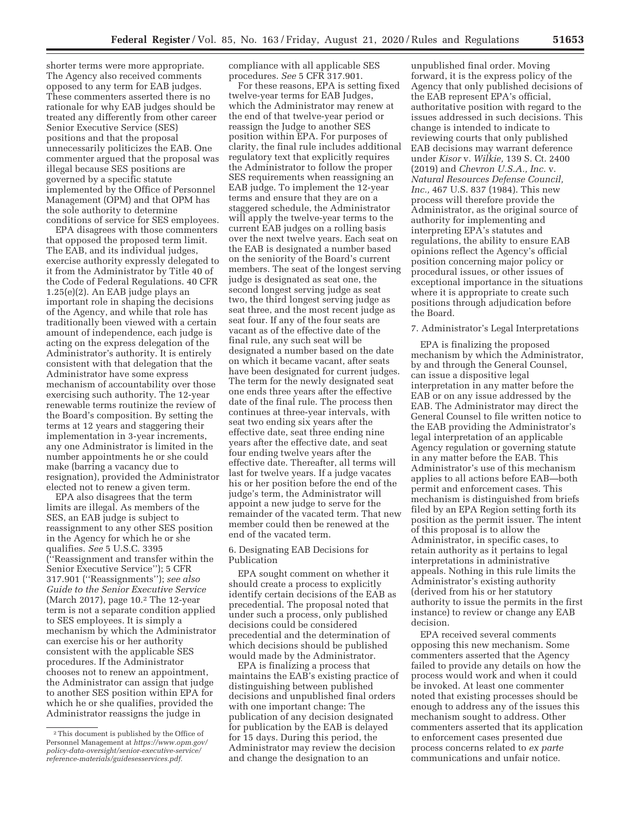shorter terms were more appropriate. The Agency also received comments opposed to any term for EAB judges. These commenters asserted there is no rationale for why EAB judges should be treated any differently from other career Senior Executive Service (SES) positions and that the proposal unnecessarily politicizes the EAB. One commenter argued that the proposal was illegal because SES positions are governed by a specific statute implemented by the Office of Personnel Management (OPM) and that OPM has the sole authority to determine conditions of service for SES employees.

EPA disagrees with those commenters that opposed the proposed term limit. The EAB, and its individual judges, exercise authority expressly delegated to it from the Administrator by Title 40 of the Code of Federal Regulations. 40 CFR 1.25(e)(2). An EAB judge plays an important role in shaping the decisions of the Agency, and while that role has traditionally been viewed with a certain amount of independence, each judge is acting on the express delegation of the Administrator's authority. It is entirely consistent with that delegation that the Administrator have some express mechanism of accountability over those exercising such authority. The 12-year renewable terms routinize the review of the Board's composition. By setting the terms at 12 years and staggering their implementation in 3-year increments, any one Administrator is limited in the number appointments he or she could make (barring a vacancy due to resignation), provided the Administrator elected not to renew a given term.

EPA also disagrees that the term limits are illegal. As members of the SES, an EAB judge is subject to reassignment to any other SES position in the Agency for which he or she qualifies. *See* 5 U.S.C. 3395 (''Reassignment and transfer within the Senior Executive Service''); 5 CFR 317.901 (''Reassignments''); *see also Guide to the Senior Executive Service*  (March 2017), page 10.2 The 12-year term is not a separate condition applied to SES employees. It is simply a mechanism by which the Administrator can exercise his or her authority consistent with the applicable SES procedures. If the Administrator chooses not to renew an appointment, the Administrator can assign that judge to another SES position within EPA for which he or she qualifies, provided the Administrator reassigns the judge in

compliance with all applicable SES procedures. *See* 5 CFR 317.901.

For these reasons, EPA is setting fixed twelve-year terms for EAB Judges, which the Administrator may renew at the end of that twelve-year period or reassign the Judge to another SES position within EPA. For purposes of clarity, the final rule includes additional regulatory text that explicitly requires the Administrator to follow the proper SES requirements when reassigning an EAB judge. To implement the 12-year terms and ensure that they are on a staggered schedule, the Administrator will apply the twelve-year terms to the current EAB judges on a rolling basis over the next twelve years. Each seat on the EAB is designated a number based on the seniority of the Board's current members. The seat of the longest serving judge is designated as seat one, the second longest serving judge as seat two, the third longest serving judge as seat three, and the most recent judge as seat four. If any of the four seats are vacant as of the effective date of the final rule, any such seat will be designated a number based on the date on which it became vacant, after seats have been designated for current judges. The term for the newly designated seat one ends three years after the effective date of the final rule. The process then continues at three-year intervals, with seat two ending six years after the effective date, seat three ending nine years after the effective date, and seat four ending twelve years after the effective date. Thereafter, all terms will last for twelve years. If a judge vacates his or her position before the end of the judge's term, the Administrator will appoint a new judge to serve for the remainder of the vacated term. That new member could then be renewed at the end of the vacated term.

### 6. Designating EAB Decisions for Publication

EPA sought comment on whether it should create a process to explicitly identify certain decisions of the EAB as precedential. The proposal noted that under such a process, only published decisions could be considered precedential and the determination of which decisions should be published would made by the Administrator.

EPA is finalizing a process that maintains the EAB's existing practice of distinguishing between published decisions and unpublished final orders with one important change: The publication of any decision designated for publication by the EAB is delayed for 15 days. During this period, the Administrator may review the decision and change the designation to an

unpublished final order. Moving forward, it is the express policy of the Agency that only published decisions of the EAB represent EPA's official, authoritative position with regard to the issues addressed in such decisions. This change is intended to indicate to reviewing courts that only published EAB decisions may warrant deference under *Kisor* v. *Wilkie,* 139 S. Ct. 2400 (2019) and *Chevron U.S.A., Inc.* v. *Natural Resources Defense Council, Inc.,* 467 U.S. 837 (1984). This new process will therefore provide the Administrator, as the original source of authority for implementing and interpreting EPA's statutes and regulations, the ability to ensure EAB opinions reflect the Agency's official position concerning major policy or procedural issues, or other issues of exceptional importance in the situations where it is appropriate to create such positions through adjudication before the Board.

### 7. Administrator's Legal Interpretations

EPA is finalizing the proposed mechanism by which the Administrator, by and through the General Counsel, can issue a dispositive legal interpretation in any matter before the EAB or on any issue addressed by the EAB. The Administrator may direct the General Counsel to file written notice to the EAB providing the Administrator's legal interpretation of an applicable Agency regulation or governing statute in any matter before the EAB. This Administrator's use of this mechanism applies to all actions before EAB—both permit and enforcement cases. This mechanism is distinguished from briefs filed by an EPA Region setting forth its position as the permit issuer. The intent of this proposal is to allow the Administrator, in specific cases, to retain authority as it pertains to legal interpretations in administrative appeals. Nothing in this rule limits the Administrator's existing authority (derived from his or her statutory authority to issue the permits in the first instance) to review or change any EAB decision.

EPA received several comments opposing this new mechanism. Some commenters asserted that the Agency failed to provide any details on how the process would work and when it could be invoked. At least one commenter noted that existing processes should be enough to address any of the issues this mechanism sought to address. Other commenters asserted that its application to enforcement cases presented due process concerns related to *ex parte*  communications and unfair notice.

<sup>2</sup>This document is published by the Office of Personnel Management at *https://www.opm.gov/ policy-data-oversight/senior-executive-service/ reference-materials/guidesesservices.pdf.*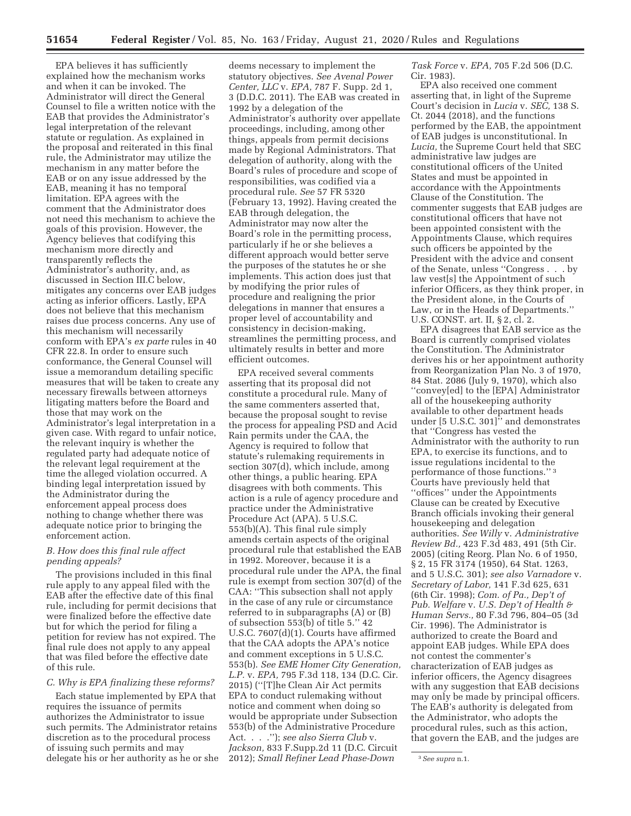EPA believes it has sufficiently explained how the mechanism works and when it can be invoked. The Administrator will direct the General Counsel to file a written notice with the EAB that provides the Administrator's legal interpretation of the relevant statute or regulation. As explained in the proposal and reiterated in this final rule, the Administrator may utilize the mechanism in any matter before the EAB or on any issue addressed by the EAB, meaning it has no temporal limitation. EPA agrees with the comment that the Administrator does not need this mechanism to achieve the goals of this provision. However, the Agency believes that codifying this mechanism more directly and transparently reflects the Administrator's authority, and, as discussed in Section III.C below, mitigates any concerns over EAB judges acting as inferior officers. Lastly, EPA does not believe that this mechanism raises due process concerns. Any use of this mechanism will necessarily conform with EPA's *ex parte* rules in 40 CFR 22.8. In order to ensure such conformance, the General Counsel will issue a memorandum detailing specific measures that will be taken to create any necessary firewalls between attorneys litigating matters before the Board and those that may work on the Administrator's legal interpretation in a given case. With regard to unfair notice, the relevant inquiry is whether the regulated party had adequate notice of the relevant legal requirement at the time the alleged violation occurred. A binding legal interpretation issued by the Administrator during the enforcement appeal process does nothing to change whether there was adequate notice prior to bringing the enforcement action.

## *B. How does this final rule affect pending appeals?*

The provisions included in this final rule apply to any appeal filed with the EAB after the effective date of this final rule, including for permit decisions that were finalized before the effective date but for which the period for filing a petition for review has not expired. The final rule does not apply to any appeal that was filed before the effective date of this rule.

## *C. Why is EPA finalizing these reforms?*

Each statue implemented by EPA that requires the issuance of permits authorizes the Administrator to issue such permits. The Administrator retains discretion as to the procedural process of issuing such permits and may delegate his or her authority as he or she

deems necessary to implement the statutory objectives. *See Avenal Power Center, LLC* v. *EPA,* 787 F. Supp. 2d 1, 3 (D.D.C. 2011). The EAB was created in 1992 by a delegation of the Administrator's authority over appellate proceedings, including, among other things, appeals from permit decisions made by Regional Administrators. That delegation of authority, along with the Board's rules of procedure and scope of responsibilities, was codified via a procedural rule. *See* 57 FR 5320 (February 13, 1992). Having created the EAB through delegation, the Administrator may now alter the Board's role in the permitting process, particularly if he or she believes a different approach would better serve the purposes of the statutes he or she implements. This action does just that by modifying the prior rules of procedure and realigning the prior delegations in manner that ensures a proper level of accountability and consistency in decision-making, streamlines the permitting process, and ultimately results in better and more efficient outcomes.

EPA received several comments asserting that its proposal did not constitute a procedural rule. Many of the same commenters asserted that, because the proposal sought to revise the process for appealing PSD and Acid Rain permits under the CAA, the Agency is required to follow that statute's rulemaking requirements in section 307(d), which include, among other things, a public hearing. EPA disagrees with both comments. This action is a rule of agency procedure and practice under the Administrative Procedure Act (APA). 5 U.S.C. 553(b)(A). This final rule simply amends certain aspects of the original procedural rule that established the EAB in 1992. Moreover, because it is a procedural rule under the APA, the final rule is exempt from section 307(d) of the CAA: ''This subsection shall not apply in the case of any rule or circumstance referred to in subparagraphs (A) or (B) of subsection 553(b) of title 5.'' 42 U.S.C. 7607(d)(1). Courts have affirmed that the CAA adopts the APA's notice and comment exceptions in 5 U.S.C. 553(b). *See EME Homer City Generation, L.P.* v. *EPA,* 795 F.3d 118, 134 (D.C. Cir. 2015) (''[T]he Clean Air Act permits EPA to conduct rulemaking without notice and comment when doing so would be appropriate under Subsection 553(b) of the Administrative Procedure Act. . . .''); *see also Sierra Club* v. *Jackson,* 833 F.Supp.2d 11 (D.C. Circuit 2012); *Small Refiner Lead Phase-Down* 

*Task Force* v. *EPA,* 705 F.2d 506 (D.C. Cir. 1983).

EPA also received one comment asserting that, in light of the Supreme Court's decision in *Lucia* v. *SEC,* 138 S. Ct. 2044 (2018), and the functions performed by the EAB, the appointment of EAB judges is unconstitutional. In *Lucia,* the Supreme Court held that SEC administrative law judges are constitutional officers of the United States and must be appointed in accordance with the Appointments Clause of the Constitution. The commenter suggests that EAB judges are constitutional officers that have not been appointed consistent with the Appointments Clause, which requires such officers be appointed by the President with the advice and consent of the Senate, unless ''Congress . . . by law vest[s] the Appointment of such inferior Officers, as they think proper, in the President alone, in the Courts of Law, or in the Heads of Departments.'' U.S. CONST. art. II, § 2, cl. 2.

EPA disagrees that EAB service as the Board is currently comprised violates the Constitution. The Administrator derives his or her appointment authority from Reorganization Plan No. 3 of 1970, 84 Stat. 2086 (July 9, 1970), which also ''convey[ed] to the [EPA] Administrator all of the housekeeping authority available to other department heads under [5 U.S.C. 301]'' and demonstrates that ''Congress has vested the Administrator with the authority to run EPA, to exercise its functions, and to issue regulations incidental to the performance of those functions.'' 3 Courts have previously held that ''offices'' under the Appointments Clause can be created by Executive Branch officials invoking their general housekeeping and delegation authorities. *See Willy* v. *Administrative Review Bd.,* 423 F.3d 483, 491 (5th Cir. 2005) (citing Reorg. Plan No. 6 of 1950, § 2, 15 FR 3174 (1950), 64 Stat. 1263, and 5 U.S.C. 301); *see also Varnadore* v. *Secretary of Labor,* 141 F.3d 625, 631 (6th Cir. 1998); *Com. of Pa., Dep't of Pub. Welfare* v. *U.S. Dep't of Health & Human Servs.,* 80 F.3d 796, 804–05 (3d Cir. 1996). The Administrator is authorized to create the Board and appoint EAB judges. While EPA does not contest the commenter's characterization of EAB judges as inferior officers, the Agency disagrees with any suggestion that EAB decisions may only be made by principal officers. The EAB's authority is delegated from the Administrator, who adopts the procedural rules, such as this action, that govern the EAB, and the judges are

<sup>3</sup>*See supra* n.1.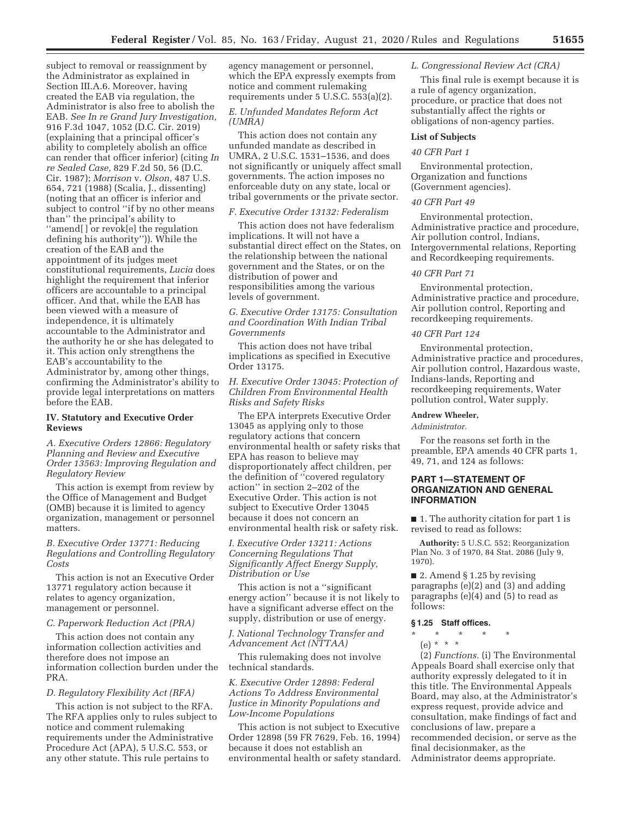subject to removal or reassignment by the Administrator as explained in Section III.A.6. Moreover, having created the EAB via regulation, the Administrator is also free to abolish the EAB. *See In re Grand Jury Investigation,*  916 F.3d 1047, 1052 (D.C. Cir. 2019) (explaining that a principal officer's ability to completely abolish an office can render that officer inferior) (citing *In re Sealed Case,* 829 F.2d 50, 56 (D.C. Cir. 1987); *Morrison* v. *Olson,* 487 U.S. 654, 721 (1988) (Scalia, J., dissenting) (noting that an officer is inferior and subject to control ''if by no other means than'' the principal's ability to ''amend[ ] or revok[e] the regulation defining his authority'')). While the creation of the EAB and the appointment of its judges meet constitutional requirements, *Lucia* does highlight the requirement that inferior officers are accountable to a principal officer. And that, while the EAB has been viewed with a measure of independence, it is ultimately accountable to the Administrator and the authority he or she has delegated to it. This action only strengthens the EAB's accountability to the Administrator by, among other things, confirming the Administrator's ability to provide legal interpretations on matters before the EAB.

### **IV. Statutory and Executive Order Reviews**

*A. Executive Orders 12866: Regulatory Planning and Review and Executive Order 13563: Improving Regulation and Regulatory Review* 

This action is exempt from review by the Office of Management and Budget (OMB) because it is limited to agency organization, management or personnel matters.

*B. Executive Order 13771: Reducing Regulations and Controlling Regulatory Costs* 

This action is not an Executive Order 13771 regulatory action because it relates to agency organization, management or personnel.

### *C. Paperwork Reduction Act (PRA)*

This action does not contain any information collection activities and therefore does not impose an information collection burden under the PRA.

#### *D. Regulatory Flexibility Act (RFA)*

This action is not subject to the RFA. The RFA applies only to rules subject to notice and comment rulemaking requirements under the Administrative Procedure Act (APA), 5 U.S.C. 553, or any other statute. This rule pertains to

agency management or personnel, which the EPA expressly exempts from notice and comment rulemaking requirements under 5 U.S.C. 553(a)(2).

### *E. Unfunded Mandates Reform Act (UMRA)*

This action does not contain any unfunded mandate as described in UMRA, 2 U.S.C. 1531–1536, and does not significantly or uniquely affect small governments. The action imposes no enforceable duty on any state, local or tribal governments or the private sector.

## *F. Executive Order 13132: Federalism*

This action does not have federalism implications. It will not have a substantial direct effect on the States, on the relationship between the national government and the States, or on the distribution of power and responsibilities among the various levels of government.

*G. Executive Order 13175: Consultation and Coordination With Indian Tribal Governments* 

This action does not have tribal implications as specified in Executive Order 13175.

*H. Executive Order 13045: Protection of Children From Environmental Health Risks and Safety Risks* 

The EPA interprets Executive Order 13045 as applying only to those regulatory actions that concern environmental health or safety risks that EPA has reason to believe may disproportionately affect children, per the definition of ''covered regulatory action'' in section 2–202 of the Executive Order. This action is not subject to Executive Order 13045 because it does not concern an environmental health risk or safety risk.

*I. Executive Order 13211: Actions Concerning Regulations That Significantly Affect Energy Supply, Distribution or Use* 

This action is not a ''significant energy action'' because it is not likely to have a significant adverse effect on the supply, distribution or use of energy.

*J. National Technology Transfer and Advancement Act (NTTAA)* 

This rulemaking does not involve technical standards.

*K. Executive Order 12898: Federal Actions To Address Environmental Justice in Minority Populations and Low-Income Populations* 

This action is not subject to Executive Order 12898 (59 FR 7629, Feb. 16, 1994) because it does not establish an environmental health or safety standard.

#### *L. Congressional Review Act (CRA)*

This final rule is exempt because it is a rule of agency organization, procedure, or practice that does not substantially affect the rights or obligations of non-agency parties.

## **List of Subjects**

## *40 CFR Part 1*

Environmental protection, Organization and functions (Government agencies).

### *40 CFR Part 49*

Environmental protection, Administrative practice and procedure, Air pollution control, Indians, Intergovernmental relations, Reporting and Recordkeeping requirements.

#### *40 CFR Part 71*

Environmental protection, Administrative practice and procedure, Air pollution control, Reporting and recordkeeping requirements.

#### *40 CFR Part 124*

Environmental protection, Administrative practice and procedures, Air pollution control, Hazardous waste, Indians-lands, Reporting and recordkeeping requirements, Water pollution control, Water supply.

#### **Andrew Wheeler,**

*Administrator.* 

For the reasons set forth in the preamble, EPA amends 40 CFR parts 1, 49, 71, and 124 as follows:

## **PART 1—STATEMENT OF ORGANIZATION AND GENERAL INFORMATION**

■ 1. The authority citation for part 1 is revised to read as follows:

**Authority:** 5 U.S.C. 552; Reorganization Plan No. 3 of 1970, 84 Stat. 2086 (July 9, 1970).

■ 2. Amend § 1.25 by revising paragraphs (e)(2) and (3) and adding paragraphs (e)(4) and (5) to read as follows:

# **§ 1.25 Staff offices.**

- \* \* \* \* \*
	- $(e) * * * *$

(2) *Functions.* (i) The Environmental Appeals Board shall exercise only that authority expressly delegated to it in this title. The Environmental Appeals Board, may also, at the Administrator's express request, provide advice and consultation, make findings of fact and conclusions of law, prepare a recommended decision, or serve as the final decisionmaker, as the Administrator deems appropriate.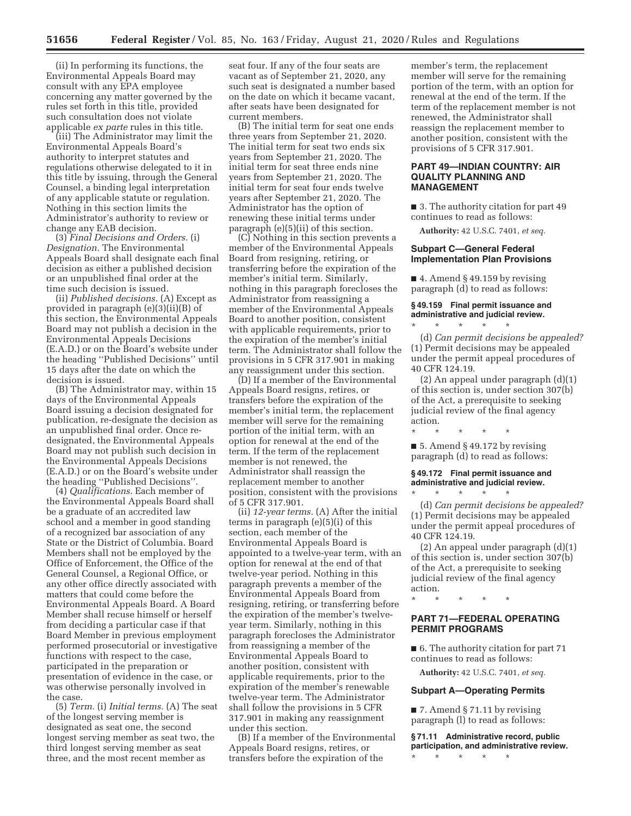(ii) In performing its functions, the Environmental Appeals Board may consult with any EPA employee concerning any matter governed by the rules set forth in this title, provided such consultation does not violate applicable *ex parte* rules in this title.

(iii) The Administrator may limit the Environmental Appeals Board's authority to interpret statutes and regulations otherwise delegated to it in this title by issuing, through the General Counsel, a binding legal interpretation of any applicable statute or regulation. Nothing in this section limits the Administrator's authority to review or change any EAB decision.

(3) *Final Decisions and Orders.* (i) *Designation.* The Environmental Appeals Board shall designate each final decision as either a published decision or an unpublished final order at the time such decision is issued.

(ii) *Published decisions.* (A) Except as provided in paragraph (e)(3)(ii)(B) of this section, the Environmental Appeals Board may not publish a decision in the Environmental Appeals Decisions (E.A.D.) or on the Board's website under the heading ''Published Decisions'' until 15 days after the date on which the decision is issued.

(B) The Administrator may, within 15 days of the Environmental Appeals Board issuing a decision designated for publication, re-designate the decision as an unpublished final order. Once redesignated, the Environmental Appeals Board may not publish such decision in the Environmental Appeals Decisions (E.A.D.) or on the Board's website under the heading ''Published Decisions''.

(4) *Qualifications.* Each member of the Environmental Appeals Board shall be a graduate of an accredited law school and a member in good standing of a recognized bar association of any State or the District of Columbia. Board Members shall not be employed by the Office of Enforcement, the Office of the General Counsel, a Regional Office, or any other office directly associated with matters that could come before the Environmental Appeals Board. A Board Member shall recuse himself or herself from deciding a particular case if that Board Member in previous employment performed prosecutorial or investigative functions with respect to the case, participated in the preparation or presentation of evidence in the case, or was otherwise personally involved in the case.

(5) *Term.* (i) *Initial terms.* (A) The seat of the longest serving member is designated as seat one, the second longest serving member as seat two, the third longest serving member as seat three, and the most recent member as

seat four. If any of the four seats are vacant as of September 21, 2020, any such seat is designated a number based on the date on which it became vacant, after seats have been designated for current members.

(B) The initial term for seat one ends three years from September 21, 2020. The initial term for seat two ends six years from September 21, 2020. The initial term for seat three ends nine years from September 21, 2020. The initial term for seat four ends twelve years after September 21, 2020. The Administrator has the option of renewing these initial terms under paragraph (e)(5)(ii) of this section.

(C) Nothing in this section prevents a member of the Environmental Appeals Board from resigning, retiring, or transferring before the expiration of the member's initial term. Similarly, nothing in this paragraph forecloses the Administrator from reassigning a member of the Environmental Appeals Board to another position, consistent with applicable requirements, prior to the expiration of the member's initial term. The Administrator shall follow the provisions in 5 CFR 317.901 in making any reassignment under this section.

(D) If a member of the Environmental Appeals Board resigns, retires, or transfers before the expiration of the member's initial term, the replacement member will serve for the remaining portion of the initial term, with an option for renewal at the end of the term. If the term of the replacement member is not renewed, the Administrator shall reassign the replacement member to another position, consistent with the provisions of 5 CFR 317.901.

(ii) *12-year terms.* (A) After the initial terms in paragraph (e)(5)(i) of this section, each member of the Environmental Appeals Board is appointed to a twelve-year term, with an option for renewal at the end of that twelve-year period. Nothing in this paragraph prevents a member of the Environmental Appeals Board from resigning, retiring, or transferring before the expiration of the member's twelveyear term. Similarly, nothing in this paragraph forecloses the Administrator from reassigning a member of the Environmental Appeals Board to another position, consistent with applicable requirements, prior to the expiration of the member's renewable twelve-year term. The Administrator shall follow the provisions in 5 CFR 317.901 in making any reassignment under this section.

(B) If a member of the Environmental Appeals Board resigns, retires, or transfers before the expiration of the

member's term, the replacement member will serve for the remaining portion of the term, with an option for renewal at the end of the term. If the term of the replacement member is not renewed, the Administrator shall reassign the replacement member to another position, consistent with the provisions of 5 CFR 317.901.

## **PART 49—INDIAN COUNTRY: AIR QUALITY PLANNING AND MANAGEMENT**

■ 3. The authority citation for part 49 continues to read as follows:

**Authority:** 42 U.S.C. 7401, *et seq.* 

## **Subpart C—General Federal Implementation Plan Provisions**

 $\blacksquare$  4. Amend § 49.159 by revising paragraph (d) to read as follows:

# **§ 49.159 Final permit issuance and administrative and judicial review.**

\* \* \* \* \* (d) *Can permit decisions be appealed?*  (1) Permit decisions may be appealed under the permit appeal procedures of 40 CFR 124.19.

(2) An appeal under paragraph (d)(1) of this section is, under section 307(b) of the Act, a prerequisite to seeking judicial review of the final agency action.

 $\blacksquare$  5. Amend § 49.172 by revising paragraph (d) to read as follows:

\* \* \* \* \*

#### **§ 49.172 Final permit issuance and administrative and judicial review.**  \* \* \* \* \*

(d) *Can permit decisions be appealed?*  (1) Permit decisions may be appealed under the permit appeal procedures of 40 CFR 124.19.

(2) An appeal under paragraph (d)(1) of this section is, under section 307(b) of the Act, a prerequisite to seeking judicial review of the final agency action.

# **PART 71—FEDERAL OPERATING PERMIT PROGRAMS**

\* \* \* \* \*

■ 6. The authority citation for part 71 continues to read as follows:

**Authority:** 42 U.S.C. 7401, *et seq.* 

## **Subpart A—Operating Permits**

■ 7. Amend § 71.11 by revising paragraph (l) to read as follows:

**§ 71.11 Administrative record, public participation, and administrative review.**  \* \* \* \* \*